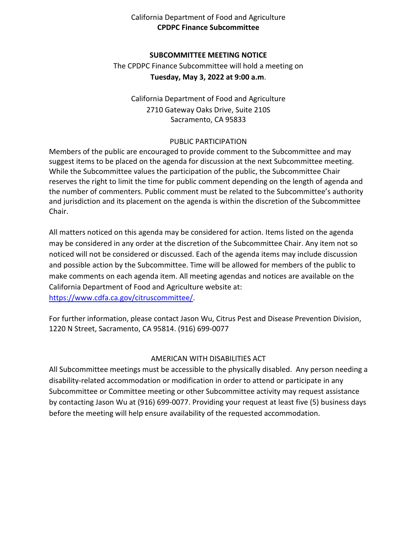## California Department of Food and Agriculture **CPDPC Finance Subcommittee**

### **SUBCOMMITTEE MEETING NOTICE**

 **Tuesday, May 3, 2022 at 9:00 a.m**. The CPDPC Finance Subcommittee will hold a meeting on

California Department of Food and Agriculture 2710 Gateway Oaks Drive, Suite 210S Sacramento, CA 95833

#### PUBLIC PARTICIPATION

 suggest items to be placed on the agenda for discussion at the next Subcommittee meeting. Members of the public are encouraged to provide comment to the Subcommittee and may While the Subcommittee values the participation of the public, the Subcommittee Chair reserves the right to limit the time for public comment depending on the length of agenda and the number of commenters. Public comment must be related to the Subcommittee's authority and jurisdiction and its placement on the agenda is within the discretion of the Subcommittee Chair.

 may be considered in any order at the discretion of the Subcommittee Chair. Any item not so and possible action by the Subcommittee. Time will be allowed for members of the public to make comments on each agenda item. All meeting agendas and notices are available on the All matters noticed on this agenda may be considered for action. Items listed on the agenda noticed will not be considered or discussed. Each of the agenda items may include discussion California Department of Food and Agriculture website at: [https://www.cdfa.ca.gov/citruscommittee/.](https://www.cdfa.ca.gov/citruscommittee/)

 For further information, please contact Jason Wu, Citrus Pest and Disease Prevention Division, 1220 N Street, Sacramento, CA 95814. (916) 699-0077

## AMERICAN WITH DISABILITIES ACT

 All Subcommittee meetings must be accessible to the physically disabled. Any person needing a disability-related accommodation or modification in order to attend or participate in any Subcommittee or Committee meeting or other Subcommittee activity may request assistance by contacting Jason Wu at (916) 699-0077. Providing your request at least five (5) business days before the meeting will help ensure availability of the requested accommodation.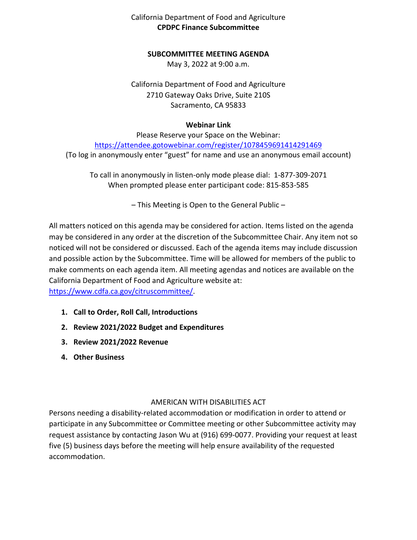# California Department of Food and Agriculture **CPDPC Finance Subcommittee**

### **SUBCOMMITTEE MEETING AGENDA**

May 3, 2022 at 9:00 a.m.

California Department of Food and Agriculture 2710 Gateway Oaks Drive, Suite 210S Sacramento, CA 95833

### **Webinar Link**

https://attendee.gotowebinar.com/register/1078459691414291469 Please Reserve your Space on the Webinar: (To log in anonymously enter "guest" for name and use an anonymous email account)

 To call in anonymously in listen-only mode please dial: 1-877-309-2071 When prompted please enter participant code: 815-853-585

– This Meeting is Open to the General Public –

 may be considered in any order at the discretion of the Subcommittee Chair. Any item not so and possible action by the Subcommittee. Time will be allowed for members of the public to make comments on each agenda item. All meeting agendas and notices are available on the California Department of Food and Agriculture website at: All matters noticed on this agenda may be considered for action. Items listed on the agenda noticed will not be considered or discussed. Each of the agenda items may include discussion [https://www.cdfa.ca.gov/citruscommittee/.](https://www.cdfa.ca.gov/citruscommittee/)

- **1. Call to Order, Roll Call, Introductions**
- **2. Review 2021/2022 Budget and Expenditures**
- **3. Review 2021/2022 Revenue**
- **4. Other Business**

## AMERICAN WITH DISABILITIES ACT

 five (5) business days before the meeting will help ensure availability of the requested Persons needing a disability-related accommodation or modification in order to attend or participate in any Subcommittee or Committee meeting or other Subcommittee activity may request assistance by contacting Jason Wu at (916) 699-0077. Providing your request at least accommodation.